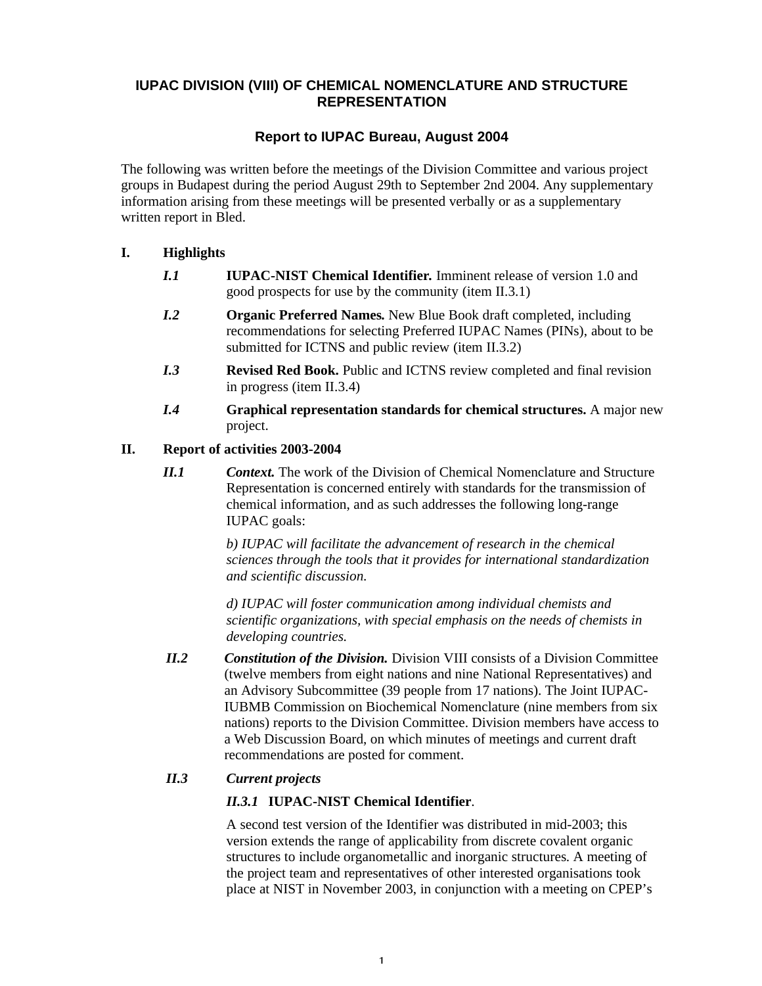# **IUPAC DIVISION (VIII) OF CHEMICAL NOMENCLATURE AND STRUCTURE REPRESENTATION**

# **Report to IUPAC Bureau, August 2004**

The following was written before the meetings of the Division Committee and various project groups in Budapest during the period August 29th to September 2nd 2004. Any supplementary information arising from these meetings will be presented verbally or as a supplementary written report in Bled.

# **I. Highlights**

- *I.1* **IUPAC-NIST Chemical Identifier***.* Imminent release of version 1.0 and good prospects for use by the community (item II.3.1)
- *I.2* **Organic Preferred Names.** New Blue Book draft completed, including recommendations for selecting Preferred IUPAC Names (PINs), about to be submitted for ICTNS and public review (item II.3.2)
- *I.3* **Revised Red Book.** Public and ICTNS review completed and final revision in progress (item II.3.4)
- *I.4* **Graphical representation standards for chemical structures.** A major new project.

## **II. Report of activities 2003-2004**

*II.1 Context.* The work of the Division of Chemical Nomenclature and Structure Representation is concerned entirely with standards for the transmission of chemical information, and as such addresses the following long-range IUPAC goals:

> *b) IUPAC will facilitate the advancement of research in the chemical sciences through the tools that it provides for international standardization and scientific discussion.*

*d) IUPAC will foster communication among individual chemists and scientific organizations, with special emphasis on the needs of chemists in developing countries.*

*II.2 Constitution of the Division.* Division VIII consists of a Division Committee (twelve members from eight nations and nine National Representatives) and an Advisory Subcommittee (39 people from 17 nations). The Joint IUPAC-IUBMB Commission on Biochemical Nomenclature (nine members from six nations) reports to the Division Committee. Division members have access to a Web Discussion Board, on which minutes of meetings and current draft recommendations are posted for comment.

# *II.3 Current projects*

# *II.3.1* **IUPAC-NIST Chemical Identifier**.

A second test version of the Identifier was distributed in mid-2003; this version extends the range of applicability from discrete covalent organic structures to include organometallic and inorganic structures. A meeting of the project team and representatives of other interested organisations took place at NIST in November 2003, in conjunction with a meeting on CPEP's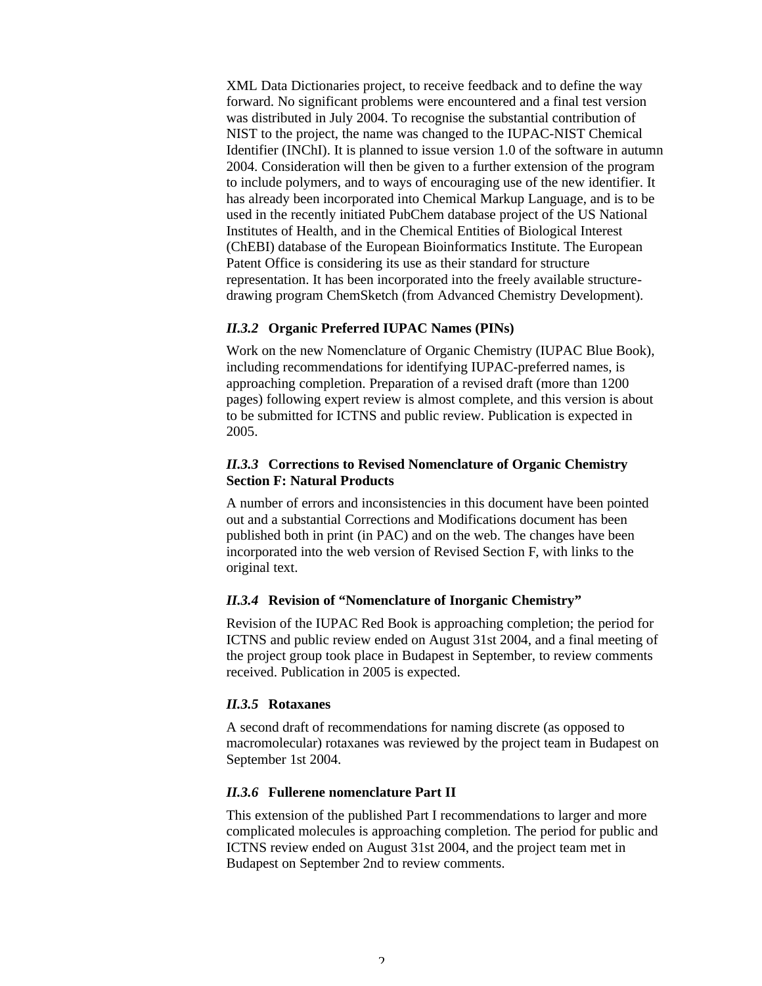XML Data Dictionaries project, to receive feedback and to define the way forward. No significant problems were encountered and a final test version was distributed in July 2004. To recognise the substantial contribution of NIST to the project, the name was changed to the IUPAC-NIST Chemical Identifier (INChI). It is planned to issue version 1.0 of the software in autumn 2004. Consideration will then be given to a further extension of the program to include polymers, and to ways of encouraging use of the new identifier. It has already been incorporated into Chemical Markup Language, and is to be used in the recently initiated PubChem database project of the US National Institutes of Health, and in the Chemical Entities of Biological Interest (ChEBI) database of the European Bioinformatics Institute. The European Patent Office is considering its use as their standard for structure representation. It has been incorporated into the freely available structuredrawing program ChemSketch (from Advanced Chemistry Development).

### *II.3.2* **Organic Preferred IUPAC Names (PINs)**

Work on the new Nomenclature of Organic Chemistry (IUPAC Blue Book), including recommendations for identifying IUPAC-preferred names, is approaching completion. Preparation of a revised draft (more than 1200 pages) following expert review is almost complete, and this version is about to be submitted for ICTNS and public review. Publication is expected in 2005.

### *II.3.3* **Corrections to Revised Nomenclature of Organic Chemistry Section F: Natural Products**

A number of errors and inconsistencies in this document have been pointed out and a substantial Corrections and Modifications document has been published both in print (in PAC) and on the web. The changes have been incorporated into the web version of Revised Section F, with links to the original text.

### *II.3.4* **Revision of "Nomenclature of Inorganic Chemistry"**

Revision of the IUPAC Red Book is approaching completion; the period for ICTNS and public review ended on August 31st 2004, and a final meeting of the project group took place in Budapest in September, to review comments received. Publication in 2005 is expected.

### *II.3.5* **Rotaxanes**

A second draft of recommendations for naming discrete (as opposed to macromolecular) rotaxanes was reviewed by the project team in Budapest on September 1st 2004.

#### *II.3.6* **Fullerene nomenclature Part II**

This extension of the published Part I recommendations to larger and more complicated molecules is approaching completion. The period for public and ICTNS review ended on August 31st 2004, and the project team met in Budapest on September 2nd to review comments.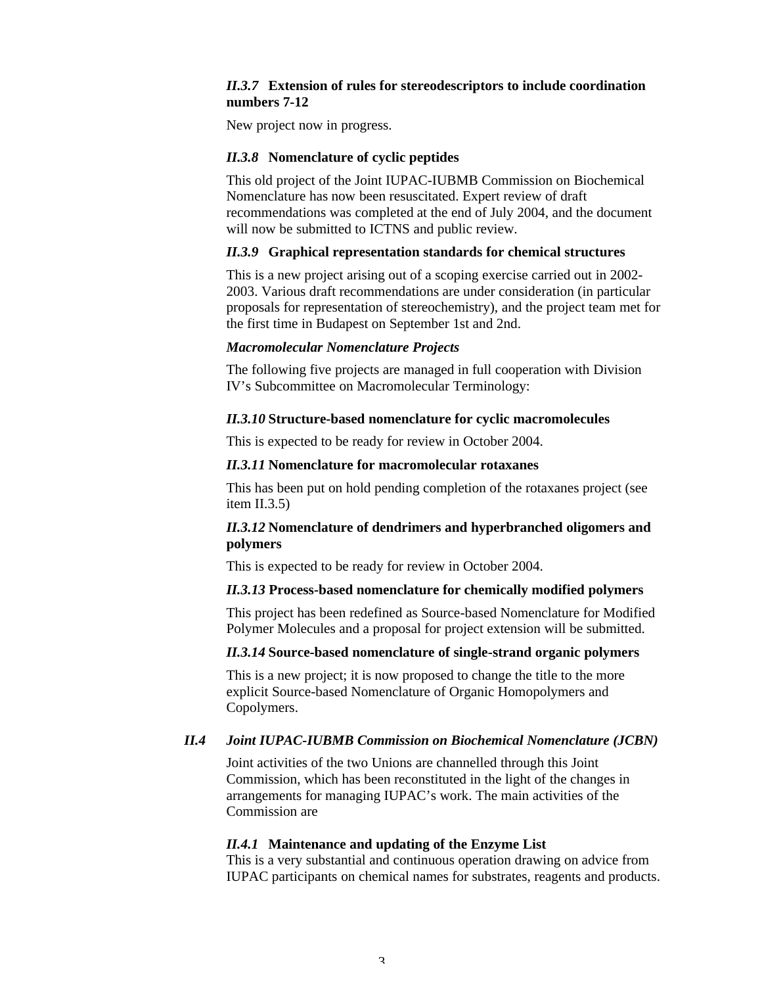### *II.3.7* **Extension of rules for stereodescriptors to include coordination numbers 7-12**

New project now in progress.

### *II.3.8* **Nomenclature of cyclic peptides**

This old project of the Joint IUPAC-IUBMB Commission on Biochemical Nomenclature has now been resuscitated. Expert review of draft recommendations was completed at the end of July 2004, and the document will now be submitted to ICTNS and public review.

### *II.3.9* **Graphical representation standards for chemical structures**

This is a new project arising out of a scoping exercise carried out in 2002- 2003. Various draft recommendations are under consideration (in particular proposals for representation of stereochemistry), and the project team met for the first time in Budapest on September 1st and 2nd.

#### *Macromolecular Nomenclature Projects*

The following five projects are managed in full cooperation with Division IV's Subcommittee on Macromolecular Terminology:

### *II.3.10* **Structure-based nomenclature for cyclic macromolecules**

This is expected to be ready for review in October 2004.

### *II.3.11* **Nomenclature for macromolecular rotaxanes**

This has been put on hold pending completion of the rotaxanes project (see item II.3.5)

## *II.3.12* **Nomenclature of dendrimers and hyperbranched oligomers and polymers**

This is expected to be ready for review in October 2004.

### *II.3.13* **Process-based nomenclature for chemically modified polymers**

This project has been redefined as Source-based Nomenclature for Modified Polymer Molecules and a proposal for project extension will be submitted.

#### *II.3.14* **Source-based nomenclature of single-strand organic polymers**

This is a new project; it is now proposed to change the title to the more explicit Source-based Nomenclature of Organic Homopolymers and Copolymers.

### *II.4 Joint IUPAC-IUBMB Commission on Biochemical Nomenclature (JCBN)*

Joint activities of the two Unions are channelled through this Joint Commission, which has been reconstituted in the light of the changes in arrangements for managing IUPAC's work. The main activities of the Commission are

#### *II.4.1* **Maintenance and updating of the Enzyme List**

This is a very substantial and continuous operation drawing on advice from IUPAC participants on chemical names for substrates, reagents and products.